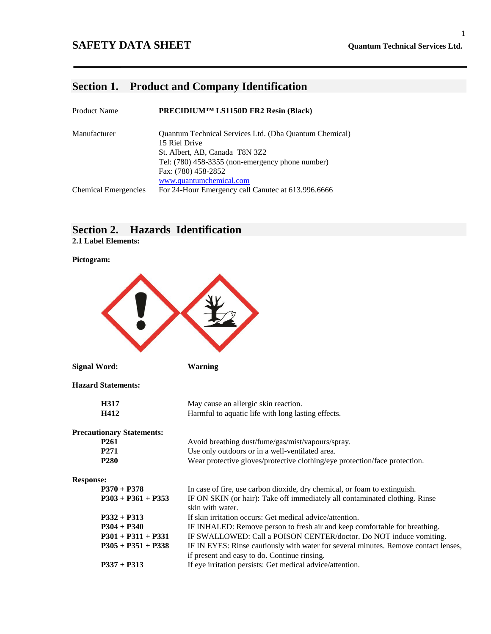# **Section 1. Product and Company Identification**

| <b>Product Name</b>         | PRECIDIUM <sup>TM</sup> LS1150D FR2 Resin (Black)      |
|-----------------------------|--------------------------------------------------------|
| Manufacturer                | Quantum Technical Services Ltd. (Dba Quantum Chemical) |
|                             | 15 Riel Drive                                          |
|                             | St. Albert, AB, Canada T8N 3Z2                         |
|                             | Tel: $(780)$ 458-3355 (non-emergency phone number)     |
|                             | Fax: (780) 458-2852                                    |
|                             | www.quantumchemical.com                                |
| <b>Chemical Emergencies</b> | For 24-Hour Emergency call Canutec at 613.996.6666     |

# **Section 2. Hazards Identification**

**2.1 Label Elements:**

#### **Pictogram:**

| <b>Signal Word:</b>              | <b>Warning</b>                                                                                  |  |
|----------------------------------|-------------------------------------------------------------------------------------------------|--|
| <b>Hazard Statements:</b>        |                                                                                                 |  |
| H317                             | May cause an allergic skin reaction.                                                            |  |
| H412                             | Harmful to aquatic life with long lasting effects.                                              |  |
| <b>Precautionary Statements:</b> |                                                                                                 |  |
| P <sub>261</sub>                 | Avoid breathing dust/fume/gas/mist/vapours/spray.                                               |  |
| P <sub>271</sub>                 | Use only outdoors or in a well-ventilated area.                                                 |  |
| P <sub>280</sub>                 | Wear protective gloves/protective clothing/eye protection/face protection.                      |  |
| <b>Response:</b>                 |                                                                                                 |  |
| $P370 + P378$                    | In case of fire, use carbon dioxide, dry chemical, or foam to extinguish.                       |  |
| $P303 + P361 + P353$             | IF ON SKIN (or hair): Take off immediately all contaminated clothing. Rinse<br>skin with water. |  |
| $P332 + P313$                    | If skin irritation occurs: Get medical advice/attention.                                        |  |
| $P304 + P340$                    | IF INHALED: Remove person to fresh air and keep comfortable for breathing.                      |  |
| $P301 + P311 + P331$             | IF SWALLOWED: Call a POISON CENTER/doctor. Do NOT induce vomiting.                              |  |
| $P305 + P351 + P338$             | IF IN EYES: Rinse cautiously with water for several minutes. Remove contact lenses,             |  |
|                                  | if present and easy to do. Continue rinsing.                                                    |  |
| $P337 + P313$                    | If eye irritation persists: Get medical advice/attention.                                       |  |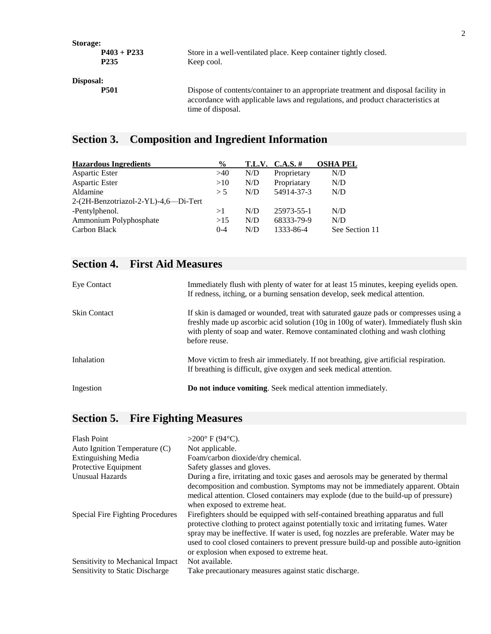| Storage:  |                                    |                                                                                                                                                                                            |
|-----------|------------------------------------|--------------------------------------------------------------------------------------------------------------------------------------------------------------------------------------------|
|           | $P403 + P233$<br>P <sub>2</sub> 35 | Store in a well-ventilated place. Keep container tightly closed.<br>Keep cool.                                                                                                             |
| Disposal: |                                    |                                                                                                                                                                                            |
|           | <b>P501</b>                        | Dispose of contents/container to an appropriate treatment and disposal facility in<br>accordance with applicable laws and regulations, and product characteristics at<br>time of disposal. |

# **Section 3. Composition and Ingredient Information**

| <b>Hazardous Ingredients</b>         | $\frac{6}{9}$ |     | $T.L.V. C.A.S. \#$ | <b>OSHA PEL</b> |
|--------------------------------------|---------------|-----|--------------------|-----------------|
| Aspartic Ester                       | >40           | N/D | Proprietary        | N/D             |
| Aspartic Ester                       | >10           | N/D | Propriatary        | N/D             |
| Aldamine                             | > 5           | N/D | 54914-37-3         | N/D             |
| 2-(2H-Benzotriazol-2-YL)-4,6-Di-Tert |               |     |                    |                 |
| -Pentylphenol.                       | >1            | N/D | 25973-55-1         | N/D             |
| Ammonium Polyphosphate               | >15           | N/D | 68333-79-9         | N/D             |
| Carbon Black                         | $0 - 4$       | N/D | 1333-86-4          | See Section 11  |

# **Section 4. First Aid Measures**

| Eye Contact         | Immediately flush with plenty of water for at least 15 minutes, keeping eyelids open.<br>If redness, itching, or a burning sensation develop, seek medical attention.                                                                                                           |
|---------------------|---------------------------------------------------------------------------------------------------------------------------------------------------------------------------------------------------------------------------------------------------------------------------------|
| <b>Skin Contact</b> | If skin is damaged or wounded, treat with saturated gauze pads or compresses using a<br>freshly made up ascorbic acid solution (10g in 100g of water). Immediately flush skin<br>with plenty of soap and water. Remove contaminated clothing and wash clothing<br>before reuse. |
| Inhalation          | Move victim to fresh air immediately. If not breathing, give artificial respiration.<br>If breathing is difficult, give oxygen and seek medical attention.                                                                                                                      |
| Ingestion           | Do not induce vomiting. Seek medical attention immediately.                                                                                                                                                                                                                     |

# **Section 5. Fire Fighting Measures**

| <b>Flash Point</b>               | $>200^{\circ}$ F (94 $^{\circ}$ C).                                                                                                                                                                                                                                                                                                                                                                       |
|----------------------------------|-----------------------------------------------------------------------------------------------------------------------------------------------------------------------------------------------------------------------------------------------------------------------------------------------------------------------------------------------------------------------------------------------------------|
| Auto Ignition Temperature (C)    | Not applicable.                                                                                                                                                                                                                                                                                                                                                                                           |
| <b>Extinguishing Media</b>       | Foam/carbon dioxide/dry chemical.                                                                                                                                                                                                                                                                                                                                                                         |
| Protective Equipment             | Safety glasses and gloves.                                                                                                                                                                                                                                                                                                                                                                                |
| <b>Unusual Hazards</b>           | During a fire, irritating and toxic gases and aerosols may be generated by thermal<br>decomposition and combustion. Symptoms may not be immediately apparent. Obtain<br>medical attention. Closed containers may explode (due to the build-up of pressure)<br>when exposed to extreme heat.                                                                                                               |
| Special Fire Fighting Procedures | Fire fighters should be equipped with self-contained breathing apparatus and full<br>protective clothing to protect against potentially toxic and irritating fumes. Water<br>spray may be ineffective. If water is used, fog nozzles are preferable. Water may be<br>used to cool closed containers to prevent pressure build-up and possible auto-ignition<br>or explosion when exposed to extreme heat. |
| Sensitivity to Mechanical Impact | Not available.                                                                                                                                                                                                                                                                                                                                                                                            |
| Sensitivity to Static Discharge  | Take precautionary measures against static discharge.                                                                                                                                                                                                                                                                                                                                                     |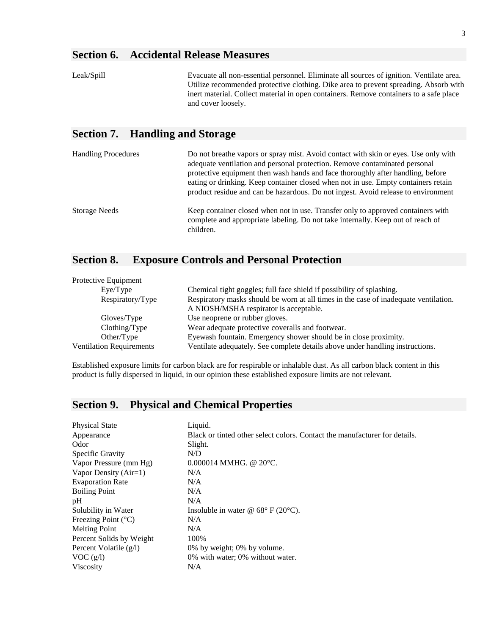# **Section 6. Accidental Release Measures**

| Evacuate all non-essential personnel. Eliminate all sources of ignition. Ventilate area.                     |
|--------------------------------------------------------------------------------------------------------------|
| Utilize recommended protective clothing. Dike area to prevent spreading. Absorb with                         |
| inert material. Collect material in open containers. Remove containers to a safe place<br>and cover loosely. |
|                                                                                                              |
|                                                                                                              |

# **Section 7. Handling and Storage**

| <b>Handling Procedures</b> | Do not breathe vapors or spray mist. Avoid contact with skin or eyes. Use only with<br>adequate ventilation and personal protection. Remove contaminated personal<br>protective equipment then wash hands and face thoroughly after handling, before<br>eating or drinking. Keep container closed when not in use. Empty containers retain<br>product residue and can be hazardous. Do not ingest. Avoid release to environment |
|----------------------------|---------------------------------------------------------------------------------------------------------------------------------------------------------------------------------------------------------------------------------------------------------------------------------------------------------------------------------------------------------------------------------------------------------------------------------|
| Storage Needs              | Keep container closed when not in use. Transfer only to approved containers with<br>complete and appropriate labeling. Do not take internally. Keep out of reach of<br>children.                                                                                                                                                                                                                                                |

## **Section 8. Exposure Controls and Personal Protection**

| Protective Equipment            |                                                                                      |
|---------------------------------|--------------------------------------------------------------------------------------|
| Eye/Type                        | Chemical tight goggles; full face shield if possibility of splashing.                |
| Respiratory/Type                | Respiratory masks should be worn at all times in the case of inadequate ventilation. |
|                                 | A NIOSH/MSHA respirator is acceptable.                                               |
| Gloves/Type                     | Use neoprene or rubber gloves.                                                       |
| Clothing/Type                   | Wear adequate protective coveralls and footwear.                                     |
| Other/Type                      | Eyewash fountain. Emergency shower should be in close proximity.                     |
| <b>Ventilation Requirements</b> | Ventilate adequately. See complete details above under handling instructions.        |

Established exposure limits for carbon black are for respirable or inhalable dust. As all carbon black content in this product is fully dispersed in liquid, in our opinion these established exposure limits are not relevant.

# **Section 9. Physical and Chemical Properties**

| <b>Physical State</b>          | Liquid.                                                                    |
|--------------------------------|----------------------------------------------------------------------------|
| Appearance                     | Black or tinted other select colors. Contact the manufacturer for details. |
| Odor                           | Slight.                                                                    |
| Specific Gravity               | N/D                                                                        |
| Vapor Pressure (mm Hg)         | $0.000014$ MMHG. @ 20 $^{\circ}$ C.                                        |
| Vapor Density $(Air=1)$        | N/A                                                                        |
| <b>Evaporation Rate</b>        | N/A                                                                        |
| <b>Boiling Point</b>           | N/A                                                                        |
| pH                             | N/A                                                                        |
| Solubility in Water            | Insoluble in water @ $68^{\circ}$ F (20 $^{\circ}$ C).                     |
| Freezing Point $({}^{\circ}C)$ | N/A                                                                        |
| <b>Melting Point</b>           | N/A                                                                        |
| Percent Solids by Weight       | 100%                                                                       |
| Percent Volatile $(g/l)$       | 0% by weight; 0% by volume.                                                |
| VOC(g/l)                       | 0% with water; 0% without water.                                           |
| <b>Viscosity</b>               | N/A                                                                        |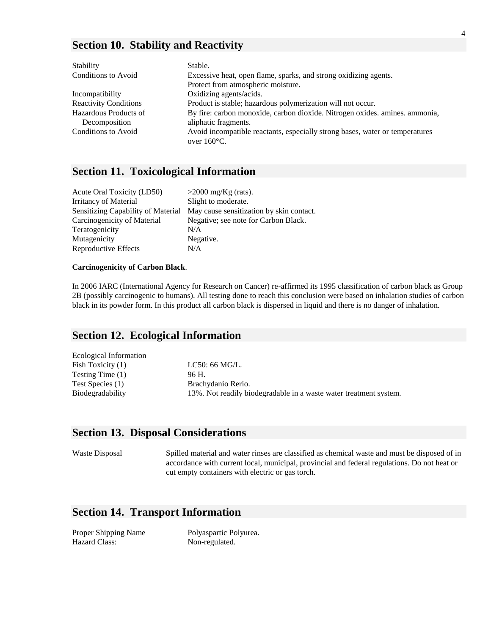### **Section 10. Stability and Reactivity**

| Stability                    | Stable.                                                                                               |
|------------------------------|-------------------------------------------------------------------------------------------------------|
| Conditions to Avoid          | Excessive heat, open flame, sparks, and strong oxidizing agents.                                      |
|                              | Protect from atmospheric moisture.                                                                    |
| Incompatibility              | Oxidizing agents/acids.                                                                               |
| <b>Reactivity Conditions</b> | Product is stable; hazardous polymerization will not occur.                                           |
| Hazardous Products of        | By fire: carbon monoxide, carbon dioxide. Nitrogen oxides. amines. ammonia,                           |
| Decomposition                | aliphatic fragments.                                                                                  |
| Conditions to Avoid          | Avoid incompatible reactants, especially strong bases, water or temperatures<br>over $160^{\circ}$ C. |

### **Section 11. Toxicological Information**

| Acute Oral Toxicity (LD50)                | $>2000$ mg/Kg (rats).                    |
|-------------------------------------------|------------------------------------------|
| <b>Irritancy of Material</b>              | Slight to moderate.                      |
| <b>Sensitizing Capability of Material</b> | May cause sensitization by skin contact. |
| Carcinogenicity of Material               | Negative; see note for Carbon Black.     |
| Teratogenicity                            | N/A                                      |
| Mutagenicity                              | Negative.                                |
| Reproductive Effects                      | N/A                                      |

#### **Carcinogenicity of Carbon Black**.

In 2006 IARC (International Agency for Research on Cancer) re-affirmed its 1995 classification of carbon black as Group 2B (possibly carcinogenic to humans). All testing done to reach this conclusion were based on inhalation studies of carbon black in its powder form. In this product all carbon black is dispersed in liquid and there is no danger of inhalation.

#### **Section 12. Ecological Information**

| <b>Ecological Information</b> |                                                                   |
|-------------------------------|-------------------------------------------------------------------|
| Fish Toxicity (1)             | LC50: 66 MG/L.                                                    |
| Testing Time (1)              | 96 H.                                                             |
| Test Species (1)              | Brachydanio Rerio.                                                |
| Biodegradability              | 13%. Not readily biodegradable in a waste water treatment system. |
|                               |                                                                   |

### **Section 13. Disposal Considerations**

Waste Disposal Spilled material and water rinses are classified as chemical waste and must be disposed of in accordance with current local, municipal, provincial and federal regulations. Do not heat or cut empty containers with electric or gas torch.

## **Section 14. Transport Information**

Hazard Class: Non-regulated.

Proper Shipping Name Polyaspartic Polyurea.